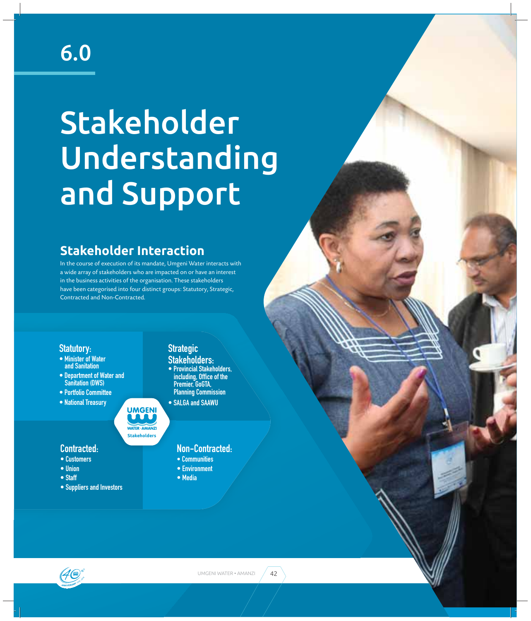## 6.0

# Stakeholder Understanding and Support

## **Stakeholder Interaction**

In the course of execution of its mandate, Umgeni Water interacts with a wide array of stakeholders who are impacted on or have an interest in the business activities of the organisation. These stakeholders have been categorised into four distinct groups: Statutory, Strategic, Contracted and Non-Contracted.

**Stakeholders**

**WATER · AMANZ** 

**UMGENI** 

#### **Statutory:**

- Minister of Water **and Sanitation**
- **Department of Water and Sanitation (DWS)**
- **Portfolio Committee FF 1**
- **National Treasury**

### **Strategic**

- **Stakeholders: • Provincial Stakeholders,** including, Office of the Premier, GoGTA, **Planning Commission**
- SALGA and SAAWU

#### **Contracted:**

- **Customers**
- **Union**
- Staff
- **Suppliers and Investors**

#### **Non-Contracted:**

- **Communities**
- **Environment**
- **Media**

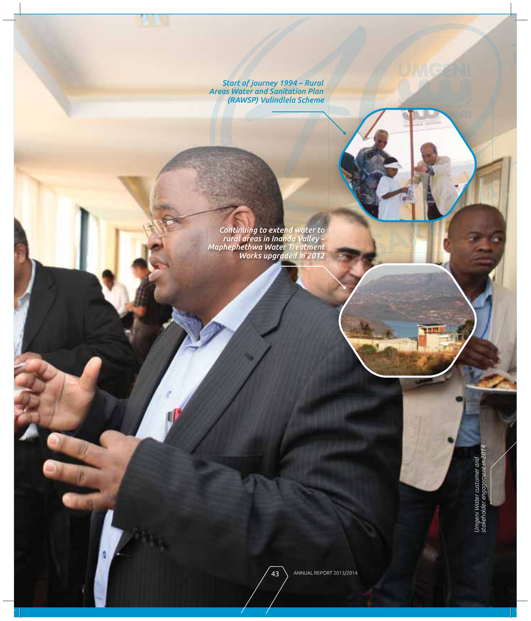Start of journey 1994 – Rural<br>Areas Water and Sanitation Plan<br>(RAWSP) Vulindlela Scheme)

Continuing to extend water to<br>- rural areas in Inanda Valley<br>Maphephethwa Water Treatment<br>Works upgraded in 2012

Umgeni Water customer and<br>stakeholder engagement in 2014

UMGENI

ANNUAL REPORT 2013/2014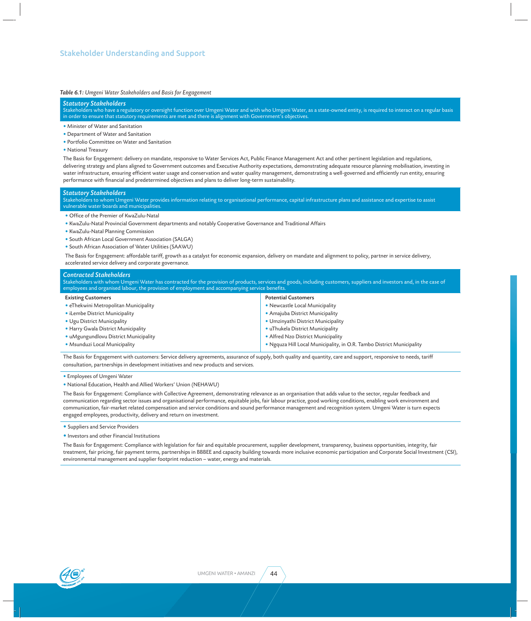#### *Table 6.1: Umgeni Water Stakeholders and Basis for Engagement*

#### *Statutory Stakeholders*

Stakeholders who have a regulatory or oversight function over Umgeni Water and with who Umgeni Water, as a state-owned entity, is required to interact on a regular basis in order to ensure that statutory requirements are met and there is alignment with Government's objectives.

- Minister of Water and Sanitation
- Department of Water and Sanitation
- Portfolio Committee on Water and Sanitation
- National Treasury

The Basis for Engagement: delivery on mandate, responsive to Water Services Act, Public Finance Management Act and other pertinent legislation and regulations, delivering strategy and plans aligned to Government outcomes and Executive Authority expectations, demonstrating adequate resource planning mobilisation, investing in water infrastructure, ensuring efficient water usage and conservation and water quality management, demonstrating a well-governed and efficiently run entity, ensuring performance with financial and predetermined objectives and plans to deliver long-term sustainability.

#### *Statutory Stakeholders*

Stakeholders to whom Umgeni Water provides information relating to organisational performance, capital infrastructure plans and assistance and expertise to assist vulnerable water boards and municipalities.

- Office of the Premier of KwaZulu-Natal
- KwaZulu-Natal Provincial Government departments and notably Cooperative Governance and Traditional Affairs
- KwaZulu-Natal Planning Commission
- South African Local Government Association (SALGA)
- South African Association of Water Utilities (SAAWU)

The Basis for Engagement: affordable tariff, growth as a catalyst for economic expansion, delivery on mandate and alignment to policy, partner in service delivery, accelerated service delivery and corporate governance.

#### *Contracted Stakeholders*

Stakeholders with whom Umgeni Water has contracted for the provision of products, services and goods, including customers, suppliers and investors and, in the case of employees and organised labour, the provision of employment and accompanying service benefits

#### Existing Customers

- eThekwini Metropolitan Municipality
- iLembe District Municipality
- Ugu District Municipality
- Harry Gwala District Municipality
- uMgungundlovu District Municipality
- Msunduzi Local Municipality

#### Potential Customers

- Newcastle Local Municipality
- Amajuba District Municipality
- Umzinyathi District Municipality
- uThukela District Municipality
- Alfred Nzo District Municipality
- Ngquza Hill Local Municipality, in O.R. Tambo District Municipality

The Basis for Engagement with customers: Service delivery agreements, assurance of supply, both quality and quantity, care and support, responsive to needs, tariff consultation, partnerships in development initiatives and new products and services.

• Employees of Umgeni Water

• National Education, Health and Allied Workers' Union (NEHAWU)

The Basis for Engagement: Compliance with Collective Agreement, demonstrating relevance as an organisation that adds value to the sector, regular feedback and communication regarding sector issues and organisational performance, equitable jobs, fair labour practice, good working conditions, enabling work environment and communication, fair-market related compensation and service conditions and sound performance management and recognition system. Umgeni Water is turn expects engaged employees, productivity, delivery and return on investment.

- Suppliers and Service Providers
- Investors and other Financial Institutions

The Basis for Engagement: Compliance with legislation for fair and equitable procurement, supplier development, transparency, business opportunities, integrity, fair treatment, fair pricing, fair payment terms, partnerships in BBBEE and capacity building towards more inclusive economic participation and Corporate Social Investment (CSI), environmental management and supplier footprint reduction – water, energy and materials.



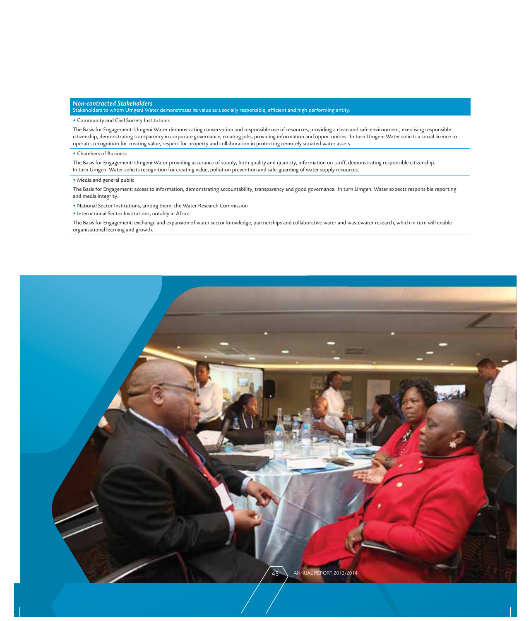#### *Non-contracted Stakeholders*

Stakeholders to whom Umgeni Water demonstrates its value as a socially responsible, efficient and high performing entity.

#### • Community and Civil Society Institutions

The Basis for Engagement: Umgeni Water demonstrating conservation and responsible use of resources, providing a clean and safe environment, exercising responsible citizenship, demonstrating transparency in corporate governance, creating jobs, providing information and opportunities. In turn Umgeni Water solicits a social licence to operate, recognition for creating value, respect for property and collaboration in protecting remotely situated water assets.

#### • Chambers of Business

The Basis for Engagement: Umgeni Water providing assurance of supply, both quality and quantity, information on tariff, demonstrating responsible citizenship. In turn Umgeni Water solicits recognition for creating value, pollution prevention and safe-guarding of water supply resources.

#### • Media and general public

The Basis for Engagement: access to information, demonstrating accountability, transparency and good governance. In turn Umgeni Water expects responsible reporting and media integrity.

• National Sector Institutions, among them, the Water Research Commission

• International Sector Institutions, notably in Africa

The Basis for Engagement: exchange and expansion of water sector knowledge, partnerships and collaborative water and wastewater research, which in turn will enable organisational learning and growth.

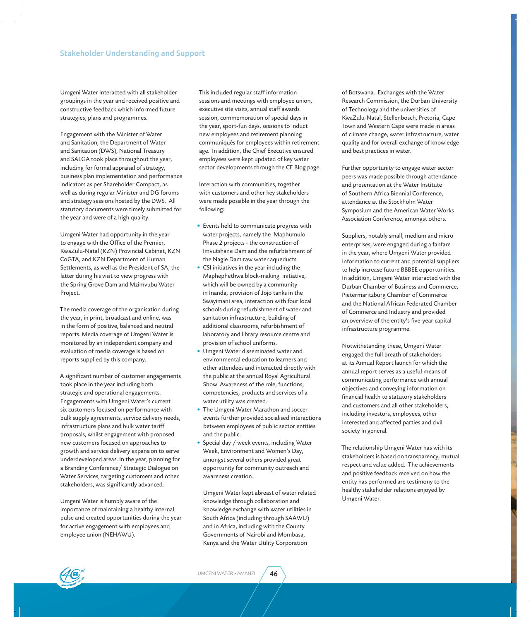Umgeni Water interacted with all stakeholder groupings in the year and received positive and constructive feedback which informed future strategies, plans and programmes.

Engagement with the Minister of Water and Sanitation, the Department of Water and Sanitation (DWS), National Treasury and SALGA took place throughout the year, including for formal appraisal of strategy, business plan implementation and performance indicators as per Shareholder Compact, as well as during regular Minister and DG forums and strategy sessions hosted by the DWS. All statutory documents were timely submitted for the year and were of a high quality.

Umgeni Water had opportunity in the year to engage with the Office of the Premier, KwaZulu-Natal (KZN) Provincial Cabinet, KZN CoGTA, and KZN Department of Human Settlements, as well as the President of SA, the latter during his visit to view progress with the Spring Grove Dam and Mzimvubu Water Project.

The media coverage of the organisation during the year, in print, broadcast and online, was in the form of positive, balanced and neutral reports. Media coverage of Umgeni Water is monitored by an independent company and evaluation of media coverage is based on reports supplied by this company.

A significant number of customer engagements took place in the year including both strategic and operational engagements. Engagements with Umgeni Water's current six customers focused on performance with bulk supply agreements, service delivery needs, infrastructure plans and bulk water tariff proposals, whilst engagement with proposed new customers focused on approaches to growth and service delivery expansion to serve underdeveloped areas. In the year, planning for a Branding Conference/ Strategic Dialogue on Water Services, targeting customers and other stakeholders, was significantly advanced.

Umgeni Water is humbly aware of the importance of maintaining a healthy internal pulse and created opportunities during the year for active engagement with employees and employee union (NEHAWU).

This included regular staff information sessions and meetings with employee union, executive site visits, annual staff awards session, commemoration of special days in the year, sport-fun days, sessions to induct new employees and retirement planning communiqués for employees within retirement age. In addition, the Chief Executive ensured employees were kept updated of key water sector developments through the CE Blog page.

Interaction with communities, together with customers and other key stakeholders were made possible in the year through the following:

- Events held to communicate progress with water projects, namely the Maphumulo Phase 2 projects - the construction of Imvutshane Dam and the refurbishment of the Nagle Dam raw water aqueducts.
- CSI initiatives in the year including the Maphephethwa block-making initiative, which will be owned by a community in Inanda, provision of Jojo tanks in the Swayimani area, interaction with four local schools during refurbishment of water and sanitation infrastructure, building of additional classrooms, refurbishment of laboratory and library resource centre and provision of school uniforms.
- Umgeni Water disseminated water and environmental education to learners and other attendees and interacted directly with the public at the annual Royal Agricultural Show. Awareness of the role, functions, competencies, products and services of a water utility was created.
- The Umgeni Water Marathon and soccer events further provided socialised interactions between employees of public sector entities and the public.
- Special day / week events, including Water Week, Environment and Women's Day, amongst several others provided great opportunity for community outreach and awareness creation.

Umgeni Water kept abreast of water related knowledge through collaboration and knowledge exchange with water utilities in South Africa (including through SAAWU) and in Africa, including with the County Governments of Nairobi and Mombasa, Kenya and the Water Utility Corporation

of Botswana. Exchanges with the Water Research Commission, the Durban University of Technology and the universities of KwaZulu-Natal, Stellenbosch, Pretoria, Cape Town and Western Cape were made in areas of climate change, water infrastructure, water quality and for overall exchange of knowledge and best practices in water.

Further opportunity to engage water sector peers was made possible through attendance and presentation at the Water Institute of Southern Africa Biennial Conference, attendance at the Stockholm Water Symposium and the American Water Works Association Conference, amongst others.

Suppliers, notably small, medium and micro enterprises, were engaged during a fanfare in the year, where Umgeni Water provided information to current and potential suppliers to help increase future BBBEE opportunities. In addition, Umgeni Water interacted with the Durban Chamber of Business and Commerce, Pietermaritzburg Chamber of Commerce and the National African Federated Chamber of Commerce and Industry and provided an overview of the entity's five-year capital infrastructure programme.

Notwithstanding these, Umgeni Water engaged the full breath of stakeholders at its Annual Report launch for which the annual report serves as a useful means of communicating performance with annual objectives and conveying information on financial health to statutory stakeholders and customers and all other stakeholders, including investors, employees, other interested and affected parties and civil society in general.

The relationship Umgeni Water has with its stakeholders is based on transparency, mutual respect and value added. The achievements and positive feedback received on how the entity has performed are testimony to the healthy stakeholder relations enjoyed by Umgeni Water.